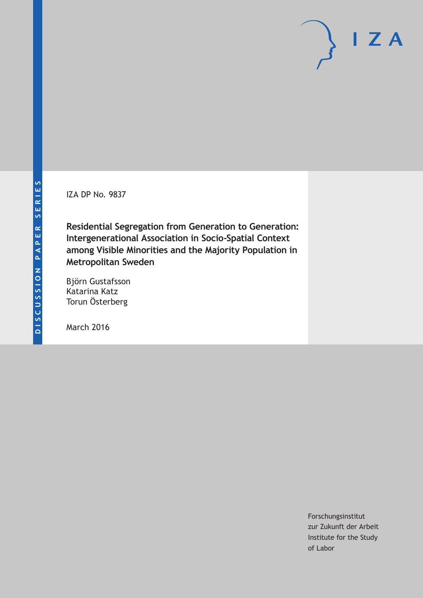IZA DP No. 9837

**Residential Segregation from Generation to Generation: Intergenerational Association in Socio-Spatial Context among Visible Minorities and the Majority Population in Metropolitan Sweden**

Björn Gustafsson Katarina Katz Torun Österberg

March 2016

Forschungsinstitut zur Zukunft der Arbeit Institute for the Study of Labor

 $I Z A$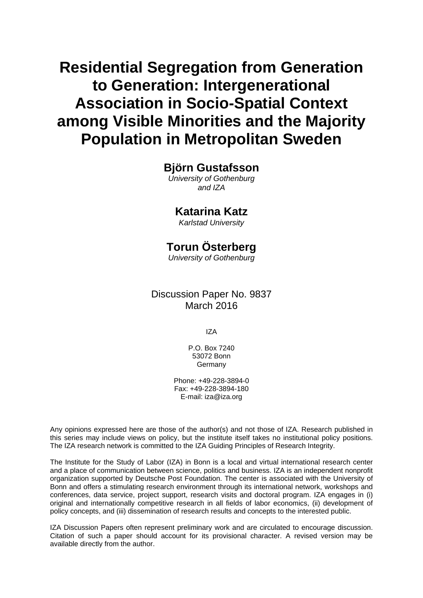# **Residential Segregation from Generation to Generation: Intergenerational Association in Socio-Spatial Context among Visible Minorities and the Majority Population in Metropolitan Sweden**

## **Björn Gustafsson**

*University of Gothenburg and IZA* 

## **Katarina Katz**

*Karlstad University* 

## **Torun Österberg**

*University of Gothenburg*

## Discussion Paper No. 9837 March 2016

IZA

P.O. Box 7240 53072 Bonn Germany

Phone: +49-228-3894-0 Fax: +49-228-3894-180 E-mail: iza@iza.org

Any opinions expressed here are those of the author(s) and not those of IZA. Research published in this series may include views on policy, but the institute itself takes no institutional policy positions. The IZA research network is committed to the IZA Guiding Principles of Research Integrity.

The Institute for the Study of Labor (IZA) in Bonn is a local and virtual international research center and a place of communication between science, politics and business. IZA is an independent nonprofit organization supported by Deutsche Post Foundation. The center is associated with the University of Bonn and offers a stimulating research environment through its international network, workshops and conferences, data service, project support, research visits and doctoral program. IZA engages in (i) original and internationally competitive research in all fields of labor economics, (ii) development of policy concepts, and (iii) dissemination of research results and concepts to the interested public.

IZA Discussion Papers often represent preliminary work and are circulated to encourage discussion. Citation of such a paper should account for its provisional character. A revised version may be available directly from the author.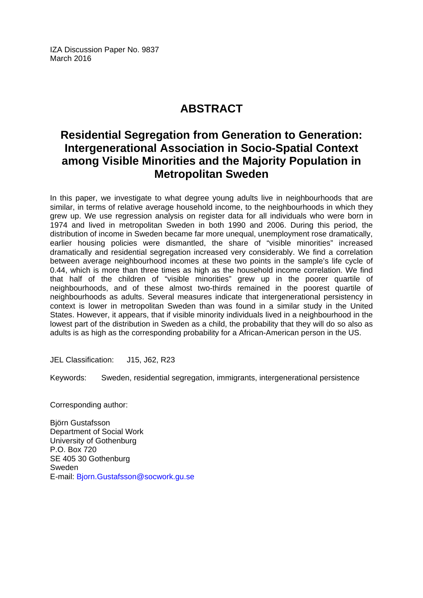IZA Discussion Paper No. 9837 March 2016

## **ABSTRACT**

## **Residential Segregation from Generation to Generation: Intergenerational Association in Socio-Spatial Context among Visible Minorities and the Majority Population in Metropolitan Sweden**

In this paper, we investigate to what degree young adults live in neighbourhoods that are similar, in terms of relative average household income, to the neighbourhoods in which they grew up. We use regression analysis on register data for all individuals who were born in 1974 and lived in metropolitan Sweden in both 1990 and 2006. During this period, the distribution of income in Sweden became far more unequal, unemployment rose dramatically, earlier housing policies were dismantled, the share of "visible minorities" increased dramatically and residential segregation increased very considerably. We find a correlation between average neighbourhood incomes at these two points in the sample's life cycle of 0.44, which is more than three times as high as the household income correlation. We find that half of the children of "visible minorities" grew up in the poorer quartile of neighbourhoods, and of these almost two-thirds remained in the poorest quartile of neighbourhoods as adults. Several measures indicate that intergenerational persistency in context is lower in metropolitan Sweden than was found in a similar study in the United States. However, it appears, that if visible minority individuals lived in a neighbourhood in the lowest part of the distribution in Sweden as a child, the probability that they will do so also as adults is as high as the corresponding probability for a African-American person in the US.

JEL Classification: J15, J62, R23

Keywords: Sweden, residential segregation, immigrants, intergenerational persistence

Corresponding author:

Björn Gustafsson Department of Social Work University of Gothenburg P.O. Box 720 SE 405 30 Gothenburg Sweden E-mail: Bjorn.Gustafsson@socwork.gu.se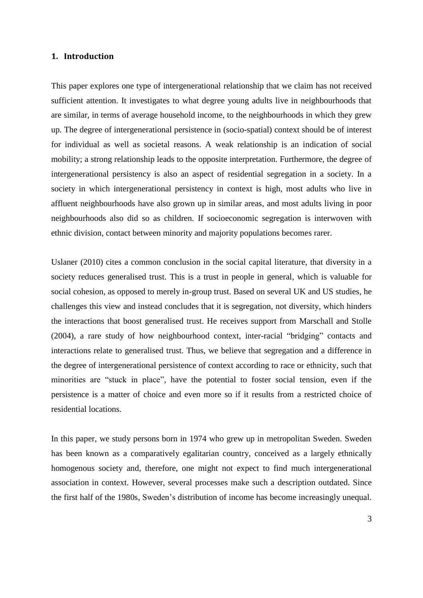#### **1. Introduction**

This paper explores one type of intergenerational relationship that we claim has not received sufficient attention. It investigates to what degree young adults live in neighbourhoods that are similar, in terms of average household income, to the neighbourhoods in which they grew up. The degree of intergenerational persistence in (socio-spatial) context should be of interest for individual as well as societal reasons. A weak relationship is an indication of social mobility; a strong relationship leads to the opposite interpretation. Furthermore, the degree of intergenerational persistency is also an aspect of residential segregation in a society. In a society in which intergenerational persistency in context is high, most adults who live in affluent neighbourhoods have also grown up in similar areas, and most adults living in poor neighbourhoods also did so as children. If socioeconomic segregation is interwoven with ethnic division, contact between minority and majority populations becomes rarer.

Uslaner (2010) cites a common conclusion in the social capital literature, that diversity in a society reduces generalised trust. This is a trust in people in general, which is valuable for social cohesion, as opposed to merely in-group trust. Based on several UK and US studies, he challenges this view and instead concludes that it is segregation, not diversity, which hinders the interactions that boost generalised trust. He receives support from Marschall and Stolle (2004), a rare study of how neighbourhood context, inter-racial "bridging" contacts and interactions relate to generalised trust. Thus, we believe that segregation and a difference in the degree of intergenerational persistence of context according to race or ethnicity, such that minorities are "stuck in place", have the potential to foster social tension, even if the persistence is a matter of choice and even more so if it results from a restricted choice of residential locations.

In this paper, we study persons born in 1974 who grew up in metropolitan Sweden. Sweden has been known as a comparatively egalitarian country, conceived as a largely ethnically homogenous society and, therefore, one might not expect to find much intergenerational association in context. However, several processes make such a description outdated. Since the first half of the 1980s, Sweden's distribution of income has become increasingly unequal.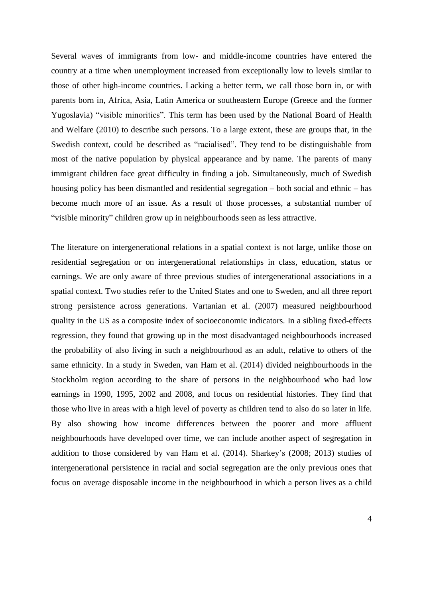Several waves of immigrants from low- and middle-income countries have entered the country at a time when unemployment increased from exceptionally low to levels similar to those of other high-income countries. Lacking a better term, we call those born in, or with parents born in, Africa, Asia, Latin America or southeastern Europe (Greece and the former Yugoslavia) "visible minorities". This term has been used by the National Board of Health and Welfare (2010) to describe such persons. To a large extent, these are groups that, in the Swedish context, could be described as "racialised". They tend to be distinguishable from most of the native population by physical appearance and by name. The parents of many immigrant children face great difficulty in finding a job. Simultaneously, much of Swedish housing policy has been dismantled and residential segregation – both social and ethnic – has become much more of an issue. As a result of those processes, a substantial number of "visible minority" children grow up in neighbourhoods seen as less attractive.

The literature on intergenerational relations in a spatial context is not large, unlike those on residential segregation or on intergenerational relationships in class, education, status or earnings. We are only aware of three previous studies of intergenerational associations in a spatial context. Two studies refer to the United States and one to Sweden, and all three report strong persistence across generations. Vartanian et al. (2007) measured neighbourhood quality in the US as a composite index of socioeconomic indicators. In a sibling fixed-effects regression, they found that growing up in the most disadvantaged neighbourhoods increased the probability of also living in such a neighbourhood as an adult, relative to others of the same ethnicity. In a study in Sweden, van Ham et al. (2014) divided neighbourhoods in the Stockholm region according to the share of persons in the neighbourhood who had low earnings in 1990, 1995, 2002 and 2008, and focus on residential histories. They find that those who live in areas with a high level of poverty as children tend to also do so later in life. By also showing how income differences between the poorer and more affluent neighbourhoods have developed over time, we can include another aspect of segregation in addition to those considered by van Ham et al. (2014). Sharkey's (2008; 2013) studies of intergenerational persistence in racial and social segregation are the only previous ones that focus on average disposable income in the neighbourhood in which a person lives as a child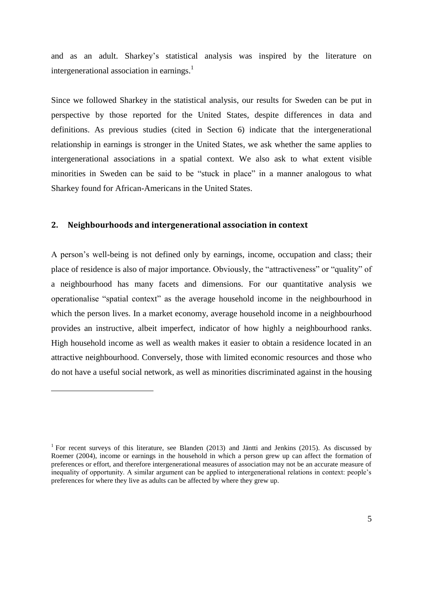and as an adult. Sharkey's statistical analysis was inspired by the literature on intergenerational association in earnings.<sup>1</sup>

Since we followed Sharkey in the statistical analysis, our results for Sweden can be put in perspective by those reported for the United States, despite differences in data and definitions. As previous studies (cited in Section 6) indicate that the intergenerational relationship in earnings is stronger in the United States, we ask whether the same applies to intergenerational associations in a spatial context. We also ask to what extent visible minorities in Sweden can be said to be "stuck in place" in a manner analogous to what Sharkey found for African-Americans in the United States.

#### **2. Neighbourhoods and intergenerational association in context**

<u>.</u>

A person's well-being is not defined only by earnings, income, occupation and class; their place of residence is also of major importance. Obviously, the "attractiveness" or "quality" of a neighbourhood has many facets and dimensions. For our quantitative analysis we operationalise "spatial context" as the average household income in the neighbourhood in which the person lives. In a market economy, average household income in a neighbourhood provides an instructive, albeit imperfect, indicator of how highly a neighbourhood ranks. High household income as well as wealth makes it easier to obtain a residence located in an attractive neighbourhood. Conversely, those with limited economic resources and those who do not have a useful social network, as well as minorities discriminated against in the housing

<sup>&</sup>lt;sup>1</sup> For recent surveys of this literature, see Blanden (2013) and Jäntti and Jenkins (2015). As discussed by Roemer (2004), income or earnings in the household in which a person grew up can affect the formation of preferences or effort, and therefore intergenerational measures of association may not be an accurate measure of inequality of opportunity. A similar argument can be applied to intergenerational relations in context: people's preferences for where they live as adults can be affected by where they grew up.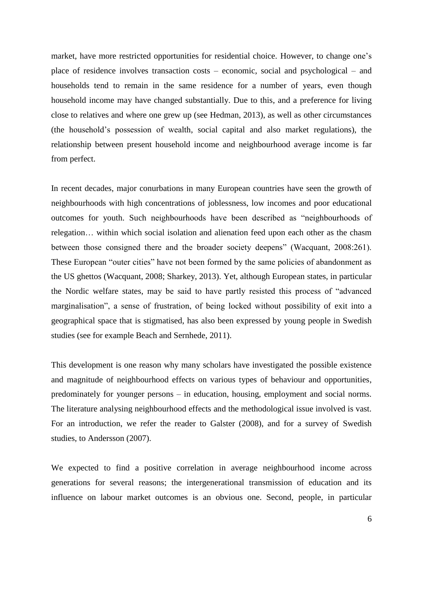market, have more restricted opportunities for residential choice. However, to change one's place of residence involves transaction costs – economic, social and psychological – and households tend to remain in the same residence for a number of years, even though household income may have changed substantially. Due to this, and a preference for living close to relatives and where one grew up (see Hedman, 2013), as well as other circumstances (the household's possession of wealth, social capital and also market regulations), the relationship between present household income and neighbourhood average income is far from perfect.

In recent decades, major conurbations in many European countries have seen the growth of neighbourhoods with high concentrations of joblessness, low incomes and poor educational outcomes for youth. Such neighbourhoods have been described as "neighbourhoods of relegation… within which social isolation and alienation feed upon each other as the chasm between those consigned there and the broader society deepens" (Wacquant, 2008:261). These European "outer cities" have not been formed by the same policies of abandonment as the US ghettos (Wacquant, 2008; Sharkey, 2013). Yet, although European states, in particular the Nordic welfare states, may be said to have partly resisted this process of "advanced marginalisation", a sense of frustration, of being locked without possibility of exit into a geographical space that is stigmatised, has also been expressed by young people in Swedish studies (see for example Beach and Sernhede, 2011).

This development is one reason why many scholars have investigated the possible existence and magnitude of neighbourhood effects on various types of behaviour and opportunities, predominately for younger persons – in education, housing, employment and social norms. The literature analysing neighbourhood effects and the methodological issue involved is vast. For an introduction, we refer the reader to Galster (2008), and for a survey of Swedish studies, to Andersson (2007).

We expected to find a positive correlation in average neighbourhood income across generations for several reasons; the intergenerational transmission of education and its influence on labour market outcomes is an obvious one. Second, people, in particular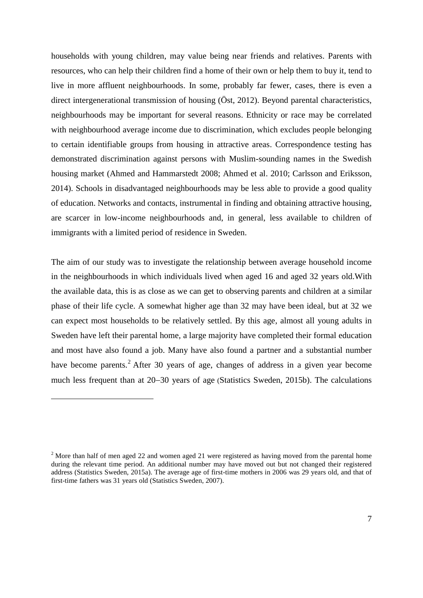households with young children, may value being near friends and relatives. Parents with resources, who can help their children find a home of their own or help them to buy it, tend to live in more affluent neighbourhoods. In some, probably far fewer, cases, there is even a direct intergenerational transmission of housing (Öst, 2012). Beyond parental characteristics, neighbourhoods may be important for several reasons. Ethnicity or race may be correlated with neighbourhood average income due to discrimination, which excludes people belonging to certain identifiable groups from housing in attractive areas. Correspondence testing has demonstrated discrimination against persons with Muslim-sounding names in the Swedish housing market (Ahmed and Hammarstedt 2008; Ahmed et al. 2010; Carlsson and Eriksson, 2014). Schools in disadvantaged neighbourhoods may be less able to provide a good quality of education. Networks and contacts, instrumental in finding and obtaining attractive housing, are scarcer in low-income neighbourhoods and, in general, less available to children of immigrants with a limited period of residence in Sweden.

The aim of our study was to investigate the relationship between average household income in the neighbourhoods in which individuals lived when aged 16 and aged 32 years old.With the available data, this is as close as we can get to observing parents and children at a similar phase of their life cycle. A somewhat higher age than 32 may have been ideal, but at 32 we can expect most households to be relatively settled. By this age, almost all young adults in Sweden have left their parental home, a large majority have completed their formal education and most have also found a job. Many have also found a partner and a substantial number have become parents.<sup>2</sup> After 30 years of age, changes of address in a given year become much less frequent than at 20–30 years of age (Statistics Sweden, 2015b). The calculations

<u>.</u>

<sup>&</sup>lt;sup>2</sup> More than half of men aged 22 and women aged 21 were registered as having moved from the parental home during the relevant time period. An additional number may have moved out but not changed their registered address (Statistics Sweden, 2015a). The average age of first-time mothers in 2006 was 29 years old, and that of first-time fathers was 31 years old (Statistics Sweden, 2007).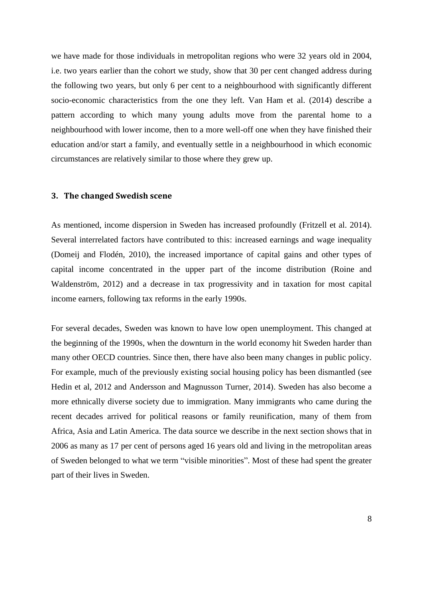we have made for those individuals in metropolitan regions who were 32 years old in 2004, i.e. two years earlier than the cohort we study, show that 30 per cent changed address during the following two years, but only 6 per cent to a neighbourhood with significantly different socio-economic characteristics from the one they left. Van Ham et al. (2014) describe a pattern according to which many young adults move from the parental home to a neighbourhood with lower income, then to a more well-off one when they have finished their education and/or start a family, and eventually settle in a neighbourhood in which economic circumstances are relatively similar to those where they grew up.

#### **3. The changed Swedish scene**

As mentioned, income dispersion in Sweden has increased profoundly (Fritzell et al. 2014). Several interrelated factors have contributed to this: increased earnings and wage inequality (Domeij and Flodén, 2010), the increased importance of capital gains and other types of capital income concentrated in the upper part of the income distribution (Roine and Waldenström, 2012) and a decrease in tax progressivity and in taxation for most capital income earners, following tax reforms in the early 1990s.

For several decades, Sweden was known to have low open unemployment. This changed at the beginning of the 1990s, when the downturn in the world economy hit Sweden harder than many other OECD countries. Since then, there have also been many changes in public policy. For example, much of the previously existing social housing policy has been dismantled (see Hedin et al, 2012 and Andersson and Magnusson Turner, 2014). Sweden has also become a more ethnically diverse society due to immigration. Many immigrants who came during the recent decades arrived for political reasons or family reunification, many of them from Africa, Asia and Latin America. The data source we describe in the next section shows that in 2006 as many as 17 per cent of persons aged 16 years old and living in the metropolitan areas of Sweden belonged to what we term "visible minorities". Most of these had spent the greater part of their lives in Sweden.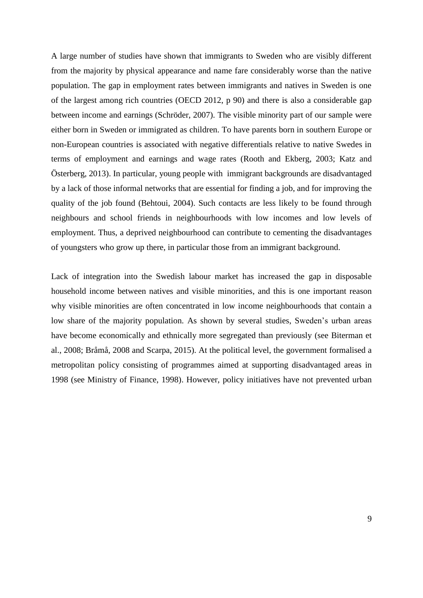A large number of studies have shown that immigrants to Sweden who are visibly different from the majority by physical appearance and name fare considerably worse than the native population. The gap in employment rates between immigrants and natives in Sweden is one of the largest among rich countries (OECD 2012, p 90) and there is also a considerable gap between income and earnings (Schröder, 2007). The visible minority part of our sample were either born in Sweden or immigrated as children. To have parents born in southern Europe or non-European countries is associated with negative differentials relative to native Swedes in terms of employment and earnings and wage rates (Rooth and Ekberg, 2003; Katz and Österberg, 2013). In particular, young people with immigrant backgrounds are disadvantaged by a lack of those informal networks that are essential for finding a job, and for improving the quality of the job found (Behtoui, 2004). Such contacts are less likely to be found through neighbours and school friends in neighbourhoods with low incomes and low levels of employment. Thus, a deprived neighbourhood can contribute to cementing the disadvantages of youngsters who grow up there, in particular those from an immigrant background.

Lack of integration into the Swedish labour market has increased the gap in disposable household income between natives and visible minorities, and this is one important reason why visible minorities are often concentrated in low income neighbourhoods that contain a low share of the majority population. As shown by several studies, Sweden's urban areas have become economically and ethnically more segregated than previously (see Biterman et al., 2008; Bråmå, 2008 and Scarpa, 2015). At the political level, the government formalised a metropolitan policy consisting of programmes aimed at supporting disadvantaged areas in 1998 (see Ministry of Finance, 1998). However, policy initiatives have not prevented urban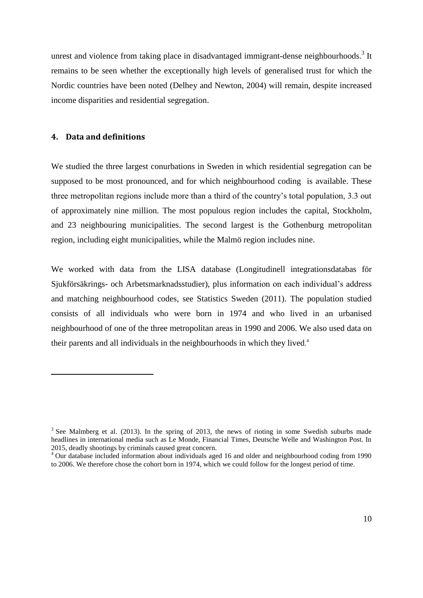unrest and violence from taking place in disadvantaged immigrant-dense neighbourhoods.<sup>3</sup> It remains to be seen whether the exceptionally high levels of generalised trust for which the Nordic countries have been noted (Delhey and Newton, 2004) will remain, despite increased income disparities and residential segregation.

#### **4. Data and definitions**

1

We studied the three largest conurbations in Sweden in which residential segregation can be supposed to be most pronounced, and for which neighbourhood coding is available. These three metropolitan regions include more than a third of the country's total population, 3.3 out of approximately nine million. The most populous region includes the capital, Stockholm, and 23 neighbouring municipalities. The second largest is the Gothenburg metropolitan region, including eight municipalities, while the Malmö region includes nine.

We worked with data from the LISA database (Longitudinell integrationsdatabas för Sjukförsäkrings- och Arbetsmarknadsstudier), plus information on each individual's address and matching neighbourhood codes, see Statistics Sweden (2011). The population studied consists of all individuals who were born in 1974 and who lived in an urbanised neighbourhood of one of the three metropolitan areas in 1990 and 2006. We also used data on their parents and all individuals in the neighbourhoods in which they lived. 4

 $3$  See Malmberg et al. (2013). In the spring of 2013, the news of rioting in some Swedish suburbs made headlines in international media such as Le Monde, Financial Times, Deutsche Welle and Washington Post. In 2015, deadly shootings by criminals caused great concern.

<sup>4</sup> Our database included information about individuals aged 16 and older and neighbourhood coding from 1990 to 2006. We therefore chose the cohort born in 1974, which we could follow for the longest period of time.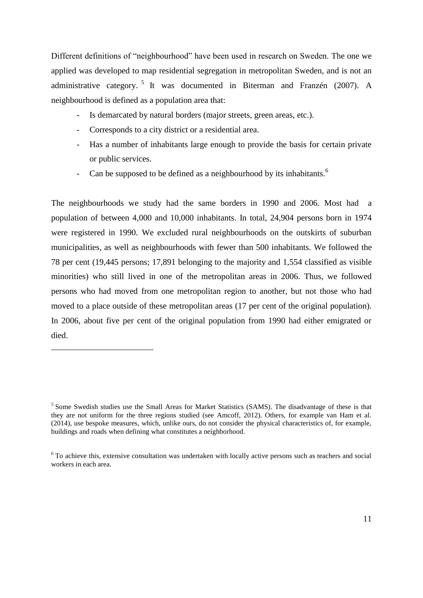Different definitions of "neighbourhood" have been used in research on Sweden. The one we applied was developed to map residential segregation in metropolitan Sweden, and is not an administrative category.<sup>5</sup> It was documented in Biterman and Franzén (2007). A neighbourhood is defined as a population area that:

- Is demarcated by natural borders (major streets, green areas, etc.).
- Corresponds to a city district or a residential area.

1

- Has a number of inhabitants large enough to provide the basis for certain private or public services.
- Can be supposed to be defined as a neighbourhood by its inhabitants.<sup>6</sup>

The neighbourhoods we study had the same borders in 1990 and 2006. Most had a population of between 4,000 and 10,000 inhabitants. In total, 24,904 persons born in 1974 were registered in 1990. We excluded rural neighbourhoods on the outskirts of suburban municipalities, as well as neighbourhoods with fewer than 500 inhabitants. We followed the 78 per cent (19,445 persons; 17,891 belonging to the majority and 1,554 classified as visible minorities) who still lived in one of the metropolitan areas in 2006. Thus, we followed persons who had moved from one metropolitan region to another, but not those who had moved to a place outside of these metropolitan areas (17 per cent of the original population). In 2006, about five per cent of the original population from 1990 had either emigrated or died.

<sup>&</sup>lt;sup>5</sup> Some Swedish studies use the Small Areas for Market Statistics (SAMS). The disadvantage of these is that they are not uniform for the three regions studied (see Amcoff, 2012). Others, for example van Ham et al. (2014), use bespoke measures, which, unlike ours, do not consider the physical characteristics of, for example, buildings and roads when defining what constitutes a neighborhood.

<sup>&</sup>lt;sup>6</sup> To achieve this, extensive consultation was undertaken with locally active persons such as teachers and social workers in each area.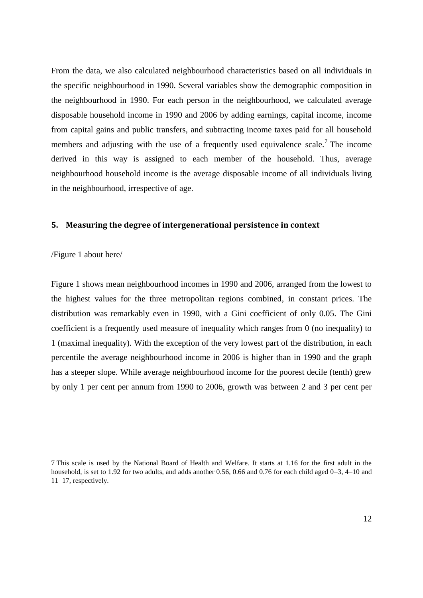From the data, we also calculated neighbourhood characteristics based on all individuals in the specific neighbourhood in 1990. Several variables show the demographic composition in the neighbourhood in 1990. For each person in the neighbourhood, we calculated average disposable household income in 1990 and 2006 by adding earnings, capital income, income from capital gains and public transfers, and subtracting income taxes paid for all household members and adjusting with the use of a frequently used equivalence scale.<sup>7</sup> The income derived in this way is assigned to each member of the household. Thus, average neighbourhood household income is the average disposable income of all individuals living in the neighbourhood, irrespective of age.

#### **5. Measuring the degree of intergenerational persistence in context**

/Figure 1 about here/

1

Figure 1 shows mean neighbourhood incomes in 1990 and 2006, arranged from the lowest to the highest values for the three metropolitan regions combined, in constant prices. The distribution was remarkably even in 1990, with a Gini coefficient of only 0.05. The Gini coefficient is a frequently used measure of inequality which ranges from 0 (no inequality) to 1 (maximal inequality). With the exception of the very lowest part of the distribution, in each percentile the average neighbourhood income in 2006 is higher than in 1990 and the graph has a steeper slope. While average neighbourhood income for the poorest decile (tenth) grew by only 1 per cent per annum from 1990 to 2006, growth was between 2 and 3 per cent per

<sup>7</sup> This scale is used by the National Board of Health and Welfare. It starts at 1.16 for the first adult in the household, is set to 1.92 for two adults, and adds another 0.56, 0.66 and 0.76 for each child aged  $0-3$ , 4-10 and  $11-17$ , respectively.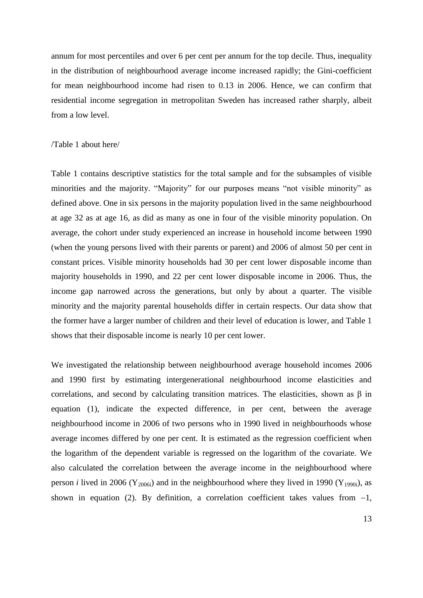annum for most percentiles and over 6 per cent per annum for the top decile. Thus, inequality in the distribution of neighbourhood average income increased rapidly; the Gini-coefficient for mean neighbourhood income had risen to 0.13 in 2006. Hence, we can confirm that residential income segregation in metropolitan Sweden has increased rather sharply, albeit from a low level.

#### /Table 1 about here/

Table 1 contains descriptive statistics for the total sample and for the subsamples of visible minorities and the majority. "Majority" for our purposes means "not visible minority" as defined above. One in six persons in the majority population lived in the same neighbourhood at age 32 as at age 16, as did as many as one in four of the visible minority population. On average, the cohort under study experienced an increase in household income between 1990 (when the young persons lived with their parents or parent) and 2006 of almost 50 per cent in constant prices. Visible minority households had 30 per cent lower disposable income than majority households in 1990, and 22 per cent lower disposable income in 2006. Thus, the income gap narrowed across the generations, but only by about a quarter. The visible minority and the majority parental households differ in certain respects. Our data show that the former have a larger number of children and their level of education is lower, and Table 1 shows that their disposable income is nearly 10 per cent lower.

We investigated the relationship between neighbourhood average household incomes 2006 and 1990 first by estimating intergenerational neighbourhood income elasticities and correlations, and second by calculating transition matrices. The elasticities, shown as  $\beta$  in equation (1), indicate the expected difference, in per cent, between the average neighbourhood income in 2006 of two persons who in 1990 lived in neighbourhoods whose average incomes differed by one per cent. It is estimated as the regression coefficient when the logarithm of the dependent variable is regressed on the logarithm of the covariate. We also calculated the correlation between the average income in the neighbourhood where person *i* lived in 2006 (Y<sub>2006i</sub>) and in the neighbourhood where they lived in 1990 (Y<sub>1990i</sub>), as shown in equation (2). By definition, a correlation coefficient takes values from  $-1$ ,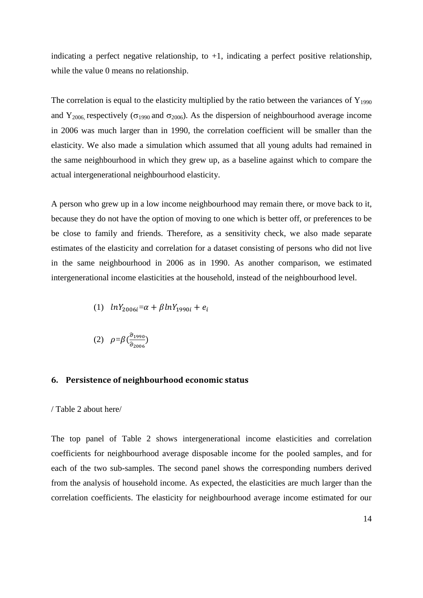indicating a perfect negative relationship, to  $+1$ , indicating a perfect positive relationship, while the value 0 means no relationship.

The correlation is equal to the elasticity multiplied by the ratio between the variances of  $Y_{1990}$ and  $Y_{2006}$  respectively ( $\sigma_{1990}$  and  $\sigma_{2006}$ ). As the dispersion of neighbourhood average income in 2006 was much larger than in 1990, the correlation coefficient will be smaller than the elasticity. We also made a simulation which assumed that all young adults had remained in the same neighbourhood in which they grew up, as a baseline against which to compare the actual intergenerational neighbourhood elasticity.

A person who grew up in a low income neighbourhood may remain there, or move back to it, because they do not have the option of moving to one which is better off, or preferences to be be close to family and friends. Therefore, as a sensitivity check, we also made separate estimates of the elasticity and correlation for a dataset consisting of persons who did not live in the same neighbourhood in 2006 as in 1990. As another comparison, we estimated intergenerational income elasticities at the household, instead of the neighbourhood level.

(1) 
$$
lnY_{2006i} = \alpha + \beta lnY_{1990i} + e_i
$$

$$
(2) \quad \rho = \beta \left( \frac{\hat{\sigma}_{1990}}{\hat{\sigma}_{2006}} \right)
$$

#### **6. Persistence of neighbourhood economic status**

#### / Table 2 about here/

The top panel of Table 2 shows intergenerational income elasticities and correlation coefficients for neighbourhood average disposable income for the pooled samples, and for each of the two sub-samples. The second panel shows the corresponding numbers derived from the analysis of household income. As expected, the elasticities are much larger than the correlation coefficients. The elasticity for neighbourhood average income estimated for our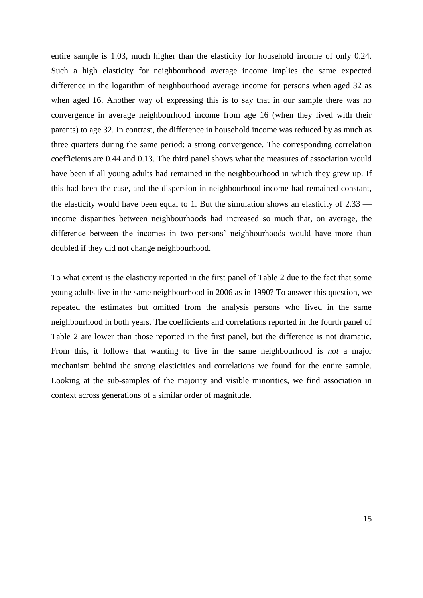entire sample is 1.03, much higher than the elasticity for household income of only 0.24. Such a high elasticity for neighbourhood average income implies the same expected difference in the logarithm of neighbourhood average income for persons when aged 32 as when aged 16. Another way of expressing this is to say that in our sample there was no convergence in average neighbourhood income from age 16 (when they lived with their parents) to age 32. In contrast, the difference in household income was reduced by as much as three quarters during the same period: a strong convergence. The corresponding correlation coefficients are 0.44 and 0.13. The third panel shows what the measures of association would have been if all young adults had remained in the neighbourhood in which they grew up. If this had been the case, and the dispersion in neighbourhood income had remained constant, the elasticity would have been equal to 1. But the simulation shows an elasticity of 2.33 income disparities between neighbourhoods had increased so much that, on average, the difference between the incomes in two persons' neighbourhoods would have more than doubled if they did not change neighbourhood.

To what extent is the elasticity reported in the first panel of Table 2 due to the fact that some young adults live in the same neighbourhood in 2006 as in 1990? To answer this question, we repeated the estimates but omitted from the analysis persons who lived in the same neighbourhood in both years. The coefficients and correlations reported in the fourth panel of Table 2 are lower than those reported in the first panel, but the difference is not dramatic. From this, it follows that wanting to live in the same neighbourhood is *not* a major mechanism behind the strong elasticities and correlations we found for the entire sample. Looking at the sub-samples of the majority and visible minorities, we find association in context across generations of a similar order of magnitude.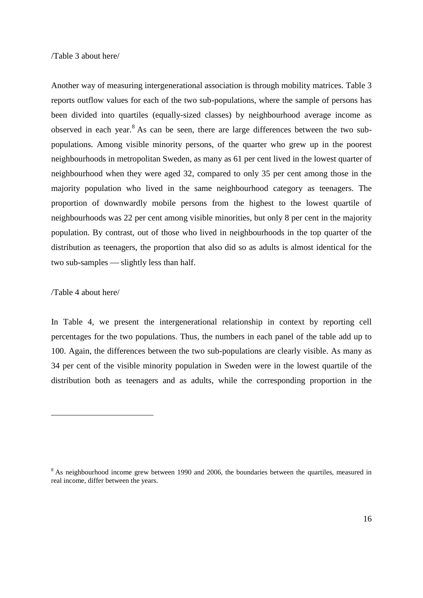#### /Table 3 about here/

Another way of measuring intergenerational association is through mobility matrices. Table 3 reports outflow values for each of the two sub-populations, where the sample of persons has been divided into quartiles (equally-sized classes) by neighbourhood average income as observed in each year.<sup>8</sup> As can be seen, there are large differences between the two subpopulations. Among visible minority persons, of the quarter who grew up in the poorest neighbourhoods in metropolitan Sweden, as many as 61 per cent lived in the lowest quarter of neighbourhood when they were aged 32, compared to only 35 per cent among those in the majority population who lived in the same neighbourhood category as teenagers. The proportion of downwardly mobile persons from the highest to the lowest quartile of neighbourhoods was 22 per cent among visible minorities, but only 8 per cent in the majority population. By contrast, out of those who lived in neighbourhoods in the top quarter of the distribution as teenagers, the proportion that also did so as adults is almost identical for the two sub-samples  $\frac{d}{dt}$  slightly less than half.

#### /Table 4 about here/

<u>.</u>

In Table 4, we present the intergenerational relationship in context by reporting cell percentages for the two populations. Thus, the numbers in each panel of the table add up to 100. Again, the differences between the two sub-populations are clearly visible. As many as 34 per cent of the visible minority population in Sweden were in the lowest quartile of the distribution both as teenagers and as adults, while the corresponding proportion in the

<sup>&</sup>lt;sup>8</sup> As neighbourhood income grew between 1990 and 2006, the boundaries between the quartiles, measured in real income, differ between the years.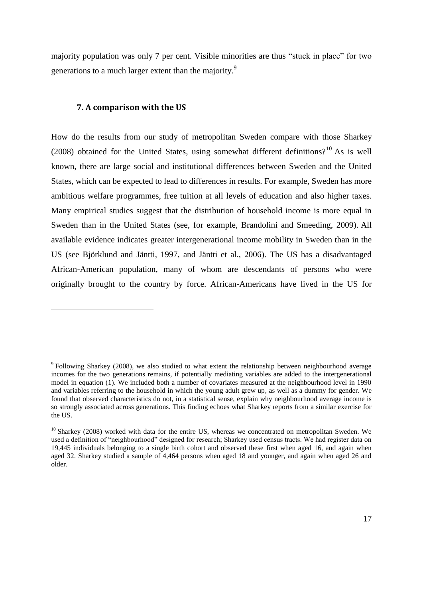majority population was only 7 per cent. Visible minorities are thus "stuck in place" for two generations to a much larger extent than the majority.<sup>9</sup>

#### **7. A comparison with the US**

1

How do the results from our study of metropolitan Sweden compare with those Sharkey (2008) obtained for the United States, using somewhat different definitions?<sup>10</sup> As is well known, there are large social and institutional differences between Sweden and the United States, which can be expected to lead to differences in results. For example, Sweden has more ambitious welfare programmes, free tuition at all levels of education and also higher taxes. Many empirical studies suggest that the distribution of household income is more equal in Sweden than in the United States (see, for example, Brandolini and Smeeding, 2009). All available evidence indicates greater intergenerational income mobility in Sweden than in the US (see Björklund and Jäntti, 1997, and Jäntti et al., 2006). The US has a disadvantaged African-American population, many of whom are descendants of persons who were originally brought to the country by force. African-Americans have lived in the US for

<sup>&</sup>lt;sup>9</sup> Following Sharkey (2008), we also studied to what extent the relationship between neighbourhood average incomes for the two generations remains, if potentially mediating variables are added to the intergenerational model in equation (1). We included both a number of covariates measured at the neighbourhood level in 1990 and variables referring to the household in which the young adult grew up, as well as a dummy for gender. We found that observed characteristics do not, in a statistical sense, explain why neighbourhood average income is so strongly associated across generations. This finding echoes what Sharkey reports from a similar exercise for the US.

 $10$  Sharkey (2008) worked with data for the entire US, whereas we concentrated on metropolitan Sweden. We used a definition of "neighbourhood" designed for research; Sharkey used census tracts. We had register data on 19,445 individuals belonging to a single birth cohort and observed these first when aged 16, and again when aged 32. Sharkey studied a sample of 4,464 persons when aged 18 and younger, and again when aged 26 and older.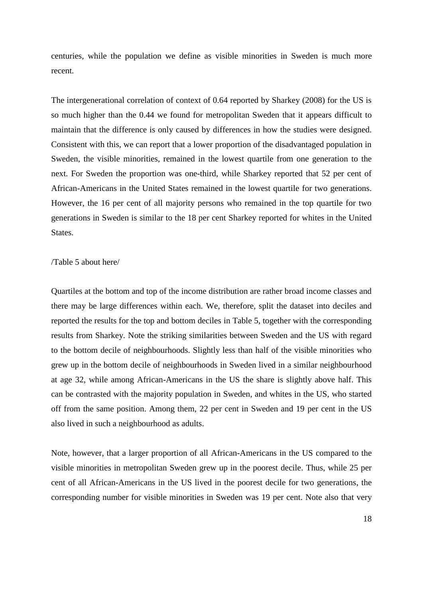centuries, while the population we define as visible minorities in Sweden is much more recent.

The intergenerational correlation of context of 0.64 reported by Sharkey (2008) for the US is so much higher than the 0.44 we found for metropolitan Sweden that it appears difficult to maintain that the difference is only caused by differences in how the studies were designed. Consistent with this, we can report that a lower proportion of the disadvantaged population in Sweden, the visible minorities, remained in the lowest quartile from one generation to the next. For Sweden the proportion was one-third, while Sharkey reported that 52 per cent of African-Americans in the United States remained in the lowest quartile for two generations. However, the 16 per cent of all majority persons who remained in the top quartile for two generations in Sweden is similar to the 18 per cent Sharkey reported for whites in the United States.

#### /Table 5 about here/

Quartiles at the bottom and top of the income distribution are rather broad income classes and there may be large differences within each. We, therefore, split the dataset into deciles and reported the results for the top and bottom deciles in Table 5, together with the corresponding results from Sharkey. Note the striking similarities between Sweden and the US with regard to the bottom decile of neighbourhoods. Slightly less than half of the visible minorities who grew up in the bottom decile of neighbourhoods in Sweden lived in a similar neighbourhood at age 32, while among African-Americans in the US the share is slightly above half. This can be contrasted with the majority population in Sweden, and whites in the US, who started off from the same position. Among them, 22 per cent in Sweden and 19 per cent in the US also lived in such a neighbourhood as adults.

Note, however, that a larger proportion of all African-Americans in the US compared to the visible minorities in metropolitan Sweden grew up in the poorest decile. Thus, while 25 per cent of all African-Americans in the US lived in the poorest decile for two generations, the corresponding number for visible minorities in Sweden was 19 per cent. Note also that very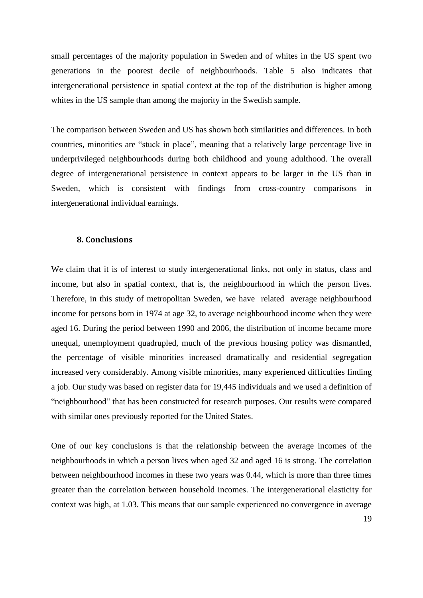small percentages of the majority population in Sweden and of whites in the US spent two generations in the poorest decile of neighbourhoods. Table 5 also indicates that intergenerational persistence in spatial context at the top of the distribution is higher among whites in the US sample than among the majority in the Swedish sample.

The comparison between Sweden and US has shown both similarities and differences. In both countries, minorities are "stuck in place", meaning that a relatively large percentage live in underprivileged neighbourhoods during both childhood and young adulthood. The overall degree of intergenerational persistence in context appears to be larger in the US than in Sweden, which is consistent with findings from cross-country comparisons in intergenerational individual earnings.

#### **8. Conclusions**

We claim that it is of interest to study intergenerational links, not only in status, class and income, but also in spatial context, that is, the neighbourhood in which the person lives. Therefore, in this study of metropolitan Sweden, we have related average neighbourhood income for persons born in 1974 at age 32, to average neighbourhood income when they were aged 16. During the period between 1990 and 2006, the distribution of income became more unequal, unemployment quadrupled, much of the previous housing policy was dismantled, the percentage of visible minorities increased dramatically and residential segregation increased very considerably. Among visible minorities, many experienced difficulties finding a job. Our study was based on register data for 19,445 individuals and we used a definition of "neighbourhood" that has been constructed for research purposes. Our results were compared with similar ones previously reported for the United States.

One of our key conclusions is that the relationship between the average incomes of the neighbourhoods in which a person lives when aged 32 and aged 16 is strong. The correlation between neighbourhood incomes in these two years was 0.44, which is more than three times greater than the correlation between household incomes. The intergenerational elasticity for context was high, at 1.03. This means that our sample experienced no convergence in average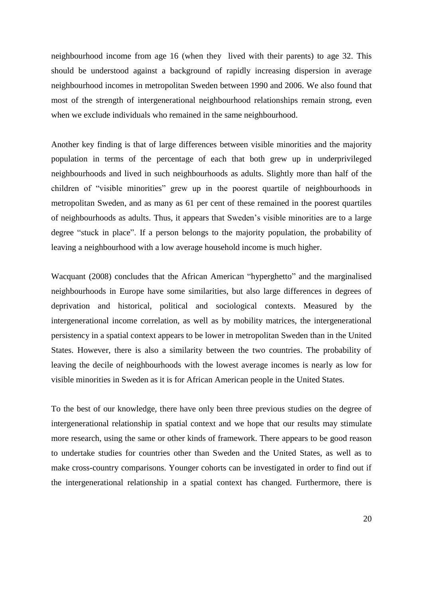neighbourhood income from age 16 (when they lived with their parents) to age 32. This should be understood against a background of rapidly increasing dispersion in average neighbourhood incomes in metropolitan Sweden between 1990 and 2006. We also found that most of the strength of intergenerational neighbourhood relationships remain strong, even when we exclude individuals who remained in the same neighbourhood.

Another key finding is that of large differences between visible minorities and the majority population in terms of the percentage of each that both grew up in underprivileged neighbourhoods and lived in such neighbourhoods as adults. Slightly more than half of the children of "visible minorities" grew up in the poorest quartile of neighbourhoods in metropolitan Sweden, and as many as 61 per cent of these remained in the poorest quartiles of neighbourhoods as adults. Thus, it appears that Sweden's visible minorities are to a large degree "stuck in place". If a person belongs to the majority population, the probability of leaving a neighbourhood with a low average household income is much higher.

Wacquant (2008) concludes that the African American "hyperghetto" and the marginalised neighbourhoods in Europe have some similarities, but also large differences in degrees of deprivation and historical, political and sociological contexts. Measured by the intergenerational income correlation, as well as by mobility matrices, the intergenerational persistency in a spatial context appears to be lower in metropolitan Sweden than in the United States. However, there is also a similarity between the two countries. The probability of leaving the decile of neighbourhoods with the lowest average incomes is nearly as low for visible minorities in Sweden as it is for African American people in the United States.

To the best of our knowledge, there have only been three previous studies on the degree of intergenerational relationship in spatial context and we hope that our results may stimulate more research, using the same or other kinds of framework. There appears to be good reason to undertake studies for countries other than Sweden and the United States, as well as to make cross-country comparisons. Younger cohorts can be investigated in order to find out if the intergenerational relationship in a spatial context has changed. Furthermore, there is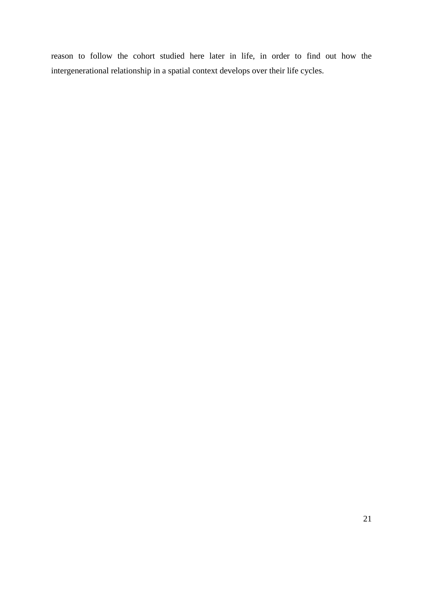reason to follow the cohort studied here later in life, in order to find out how the intergenerational relationship in a spatial context develops over their life cycles.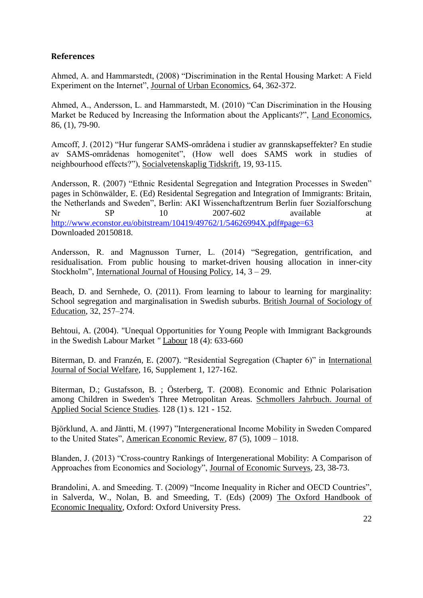### **References**

Ahmed, A. and Hammarstedt, (2008) "Discrimination in the Rental Housing Market: A Field Experiment on the Internet", Journal of Urban Economics, 64, 362-372.

Ahmed, A., Andersson, L. and Hammarstedt, M. (2010) "Can Discrimination in the Housing Market be Reduced by Increasing the Information about the Applicants?", Land Economics, 86, (1), 79-90.

Amcoff, J. (2012) "Hur fungerar SAMS-områdena i studier av grannskapseffekter? En studie av SAMS-områdenas homogenitet", (How well does SAMS work in studies of neighbourhood effects?"), Socialvetenskaplig Tidskrift, 19, 93-115.

Andersson, R. (2007) "Ethnic Residental Segregation and Integration Processes in Sweden" pages in Schönwälder, E. (Ed) Residental Segregation and Integration of Immigrants: Britain, the Netherlands and Sweden", Berlin: AKI Wissenchaftzentrum Berlin fuer Sozialforschung Nr SP 10 2007-602 available at <http://www.econstor.eu/obitstream/10419/49762/1/54626994X.pdf#page=63> Downloaded 20150818.

Andersson, R. and Magnusson Turner, L. (2014) "Segregation, gentrification, and residualisation. From public housing to market-driven housing allocation in inner-city Stockholm", International Journal of Housing Policy, 14, 3 – 29.

Beach, D. and Sernhede, O. (2011). From learning to labour to learning for marginality: School segregation and marginalisation in Swedish suburbs. British Journal of Sociology of Education, 32, 257–274.

Behtoui, A. (2004). "Unequal Opportunities for Young People with Immigrant Backgrounds in the Swedish Labour Market *"* Labour 18 (4): 633-660

Biterman, D. and Franzén, E. (2007). "Residential Segregation (Chapter 6)" in International Journal of Social Welfare, 16, Supplement 1, 127-162.

Biterman, D.; Gustafsson, B. ; Österberg, T. (2008). Economic and Ethnic Polarisation among Children in Sweden's Three Metropolitan Areas. Schmollers Jahrbuch. Journal of Applied Social Science Studies. 128 (1) s. 121 - 152.

Björklund, A. and Jäntti, M. (1997) "Intergenerational Income Mobility in Sweden Compared to the United States", American Economic Review, 87 (5), 1009 – 1018.

Blanden, J. (2013) "Cross-country Rankings of Intergenerational Mobility: A Comparison of Approaches from Economics and Sociology", Journal of Economic Surveys, 23, 38-73.

Brandolini, A. and Smeeding. T. (2009) "Income Inequality in Richer and OECD Countries", in Salverda, W., Nolan, B. and Smeeding, T. (Eds) (2009) The Oxford Handbook of Economic Inequality, Oxford: Oxford University Press.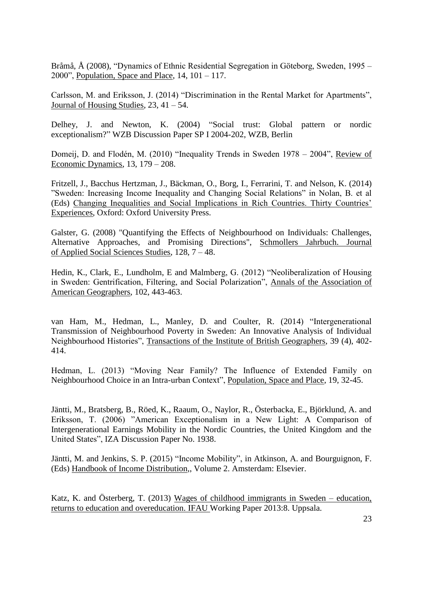Bråmå, Å (2008), "Dynamics of Ethnic Residential Segregation in Göteborg, Sweden, 1995 – 2000", Population, Space and Place,  $14$ ,  $101 - 117$ .

Carlsson, M. and Eriksson, J. (2014) "Discrimination in the Rental Market for Apartments", Journal of Housing Studies, 23, 41 – 54.

Delhey, J. and Newton, K. (2004) ["Social trust: Global pattern or nordic](https://www.econstor.eu/dspace/bitstream/10419/44134/1/394929810.pdf)  exceptionalism?" [WZB Discussion Paper SP I 2004-202,](https://www.econstor.eu/dspace/bitstream/10419/44134/1/394929810.pdf) WZB, Berlin

Domeij, D. and Flodén, M. (2010) "Inequality Trends in Sweden 1978 – 2004", Review of Economic Dynamics, 13, 179 – 208.

Fritzell, J., Bacchus Hertzman, J., Bäckman, O., Borg, I., Ferrarini, T. and Nelson, K. (2014) "Sweden: Increasing Income Inequality and Changing Social Relations" in Nolan, B. et al (Eds) Changing Inequalities and Social Implications in Rich Countries. Thirty Countries' Experiences, Oxford: Oxford University Press.

Galster, G. (2008) "Quantifying the Effects of Neighbourhood on Individuals: Challenges, Alternative Approaches, and Promising Directions", Schmollers Jahrbuch. Journal of Applied Social Sciences Studies, 128, 7 – 48.

Hedin, K., Clark, E., Lundholm, E and Malmberg, G. (2012) "Neoliberalization of Housing in Sweden: Gentrification, Filtering, and Social Polarization", Annals of the Association of American Geographers, 102, 443-463.

van Ham, M., Hedman, L., Manley, D. and Coulter, R. (2014) "Intergenerational Transmission of Neighbourhood Poverty in Sweden: An Innovative Analysis of Individual Neighbourhood Histories", Transactions of the Institute of British Geographers, 39 (4), 402- 414.

Hedman, L. (2013) "Moving Near Family? The Influence of Extended Family on Neighbourhood Choice in an Intra-urban Context", Population, Space and Place, 19, 32-45.

Jäntti, M., Bratsberg, B., Röed, K., Raaum, O., Naylor, R., Österbacka, E., Björklund, A. and Eriksson, T. (2006) "American Exceptionalism in a New Light: A Comparison of Intergenerational Earnings Mobility in the Nordic Countries, the United Kingdom and the United States", IZA Discussion Paper No. 1938.

Jäntti, M. and Jenkins, S. P. (2015) "Income Mobility", in Atkinson, A. and Bourguignon, F. (Eds) Handbook of Income Distribution,, Volume 2. Amsterdam: Elsevier.

Katz, K. and Österberg, T. (2013) Wages of childhood immigrants in Sweden – education, returns to education and overeducation. IFAU Working Paper 2013:8. Uppsala.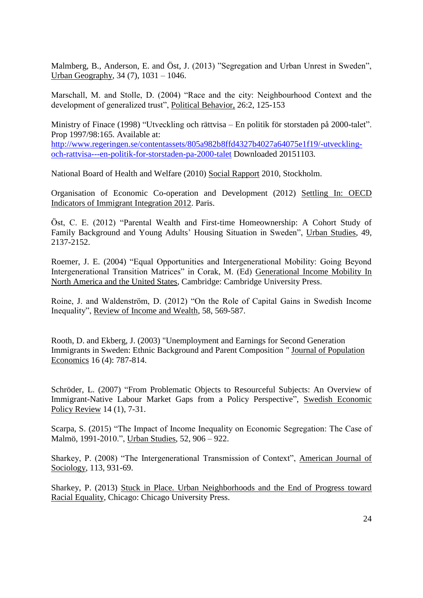Malmberg, B., Anderson, E. and Öst, J. (2013) "Segregation and Urban Unrest in Sweden", Urban Geography, 34 (7), 1031 – 1046.

Marschall, M. and Stolle, D. (2004) "Race and the city: Neighbourhood Context and the development of generalized trust", Political Behavior, 26:2, 125-153

Ministry of Finace (1998) "Utveckling och rättvisa – En politik för storstaden på 2000-talet". Prop 1997/98:165. Available at: [http://www.regeringen.se/contentassets/805a982b8ffd4327b4027a64075e1f19/-utveckling](http://www.regeringen.se/contentassets/805a982b8ffd4327b4027a64075e1f19/-utveckling-och-rattvisa---en-politik-for-storstaden-pa-2000-talet)[och-rattvisa---en-politik-for-storstaden-pa-2000-talet](http://www.regeringen.se/contentassets/805a982b8ffd4327b4027a64075e1f19/-utveckling-och-rattvisa---en-politik-for-storstaden-pa-2000-talet) Downloaded 20151103.

National Board of Health and Welfare (2010) Social Rapport 2010, Stockholm.

Organisation of Economic Co-operation and Development (2012) Settling In: OECD Indicators of Immigrant Integration 2012. Paris.

Öst, C. E. (2012) "Parental Wealth and First-time Homeownership: A Cohort Study of Family Background and Young Adults' Housing Situation in Sweden", Urban Studies, 49, 2137-2152.

Roemer, J. E. (2004) "Equal Opportunities and Intergenerational Mobility: Going Beyond Intergenerational Transition Matrices" in Corak, M. (Ed) Generational Income Mobility In North America and the United States, Cambridge: Cambridge University Press.

Roine, J. and Waldenström, D. (2012) "On the Role of Capital Gains in Swedish Income Inequality", Review of Income and Wealth, 58, 569-587.

Rooth, D. and Ekberg, J. (2003) "Unemployment and Earnings for Second Generation Immigrants in Sweden: Ethnic Background and Parent Composition *"* Journal of Population Economics 16 (4): 787-814.

Schröder, L. (2007) "From Problematic Objects to Resourceful Subjects: An Overview of Immigrant-Native Labour Market Gaps from a Policy Perspective", Swedish Economic Policy Review 14 (1), 7-31.

Scarpa, S. (2015) "The Impact of Income Inequality on Economic Segregation: The Case of Malmö, 1991-2010.", Urban Studies, 52, 906 – 922.

Sharkey, P. (2008) "The Intergenerational Transmission of Context", American Journal of Sociology, 113, 931-69.

Sharkey, P. (2013) Stuck in Place. Urban Neighborhoods and the End of Progress toward Racial Equality, Chicago: Chicago University Press.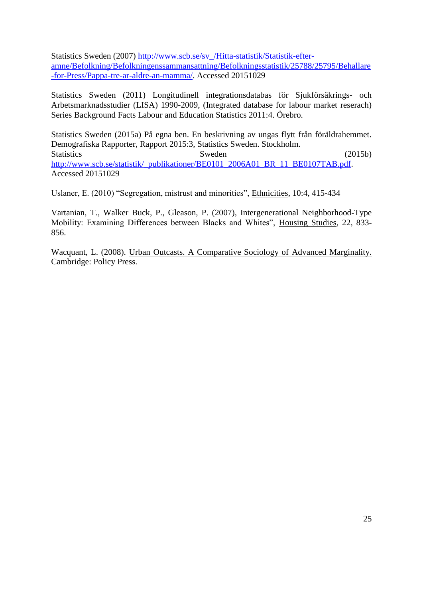Statistics Sweden (2007) [http://www.scb.se/sv\\_/Hitta-statistik/Statistik-efter](http://www.scb.se/sv_/Hitta-statistik/Statistik-efter-amne/Befolkning/Befolkningenssammansattning/Befolkningsstatistik/25788/25795/Behallare-for-Press/Pappa-tre-ar-aldre-an-mamma/)[amne/Befolkning/Befolkningenssammansattning/Befolkningsstatistik/25788/25795/Behallare](http://www.scb.se/sv_/Hitta-statistik/Statistik-efter-amne/Befolkning/Befolkningenssammansattning/Befolkningsstatistik/25788/25795/Behallare-for-Press/Pappa-tre-ar-aldre-an-mamma/) [-for-Press/Pappa-tre-ar-aldre-an-mamma/.](http://www.scb.se/sv_/Hitta-statistik/Statistik-efter-amne/Befolkning/Befolkningenssammansattning/Befolkningsstatistik/25788/25795/Behallare-for-Press/Pappa-tre-ar-aldre-an-mamma/) Accessed 20151029

Statistics Sweden (2011) Longitudinell integrationsdatabas för Sjukförsäkrings- och Arbetsmarknadsstudier (LISA) 1990-2009, (Integrated database for labour market reserach) Series Background Facts Labour and Education Statistics 2011:4. Örebro.

Statistics Sweden (2015a) På egna ben. En beskrivning av ungas flytt från föräldrahemmet. Demografiska Rapporter, Rapport 2015:3, Statistics Sweden. Stockholm. Statistics Sweden (2015b) [http://www.scb.se/statistik/\\_publikationer/BE0101\\_2006A01\\_BR\\_11\\_BE0107TAB.pdf.](http://www.scb.se/statistik/_publikationer/BE0101_2006A01_BR_11_BE0107TAB.pdf) Accessed 20151029

Uslaner, E. (2010) "Segregation, mistrust and minorities", Ethnicities, 10:4, 415-434

Vartanian, T., Walker Buck, P., Gleason, P. (2007), Intergenerational Neighborhood-Type Mobility: Examining Differences between Blacks and Whites", Housing Studies, 22, 833- 856.

Wacquant, L. (2008). Urban Outcasts. A Comparative Sociology of Advanced Marginality. Cambridge: Policy Press.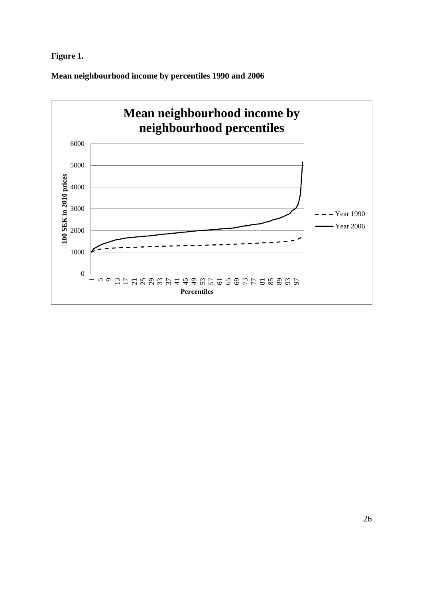### **Figure 1.**

**Mean neighbourhood income by percentiles 1990 and 2006**

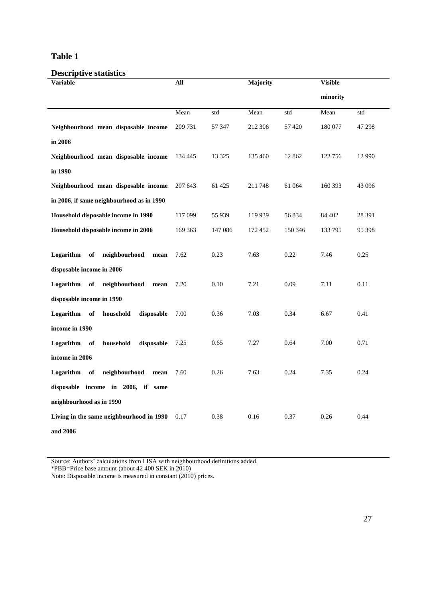#### **Table 1**

## **Descriptive statistics**

| <b>Variable</b>                            | All     |         | Majority |         | <b>Visible</b> |          |
|--------------------------------------------|---------|---------|----------|---------|----------------|----------|
|                                            |         |         |          |         | minority       |          |
|                                            | Mean    | std     | Mean     | std     | Mean           | std      |
| Neighbourhood mean disposable income       | 209 731 | 57 347  | 212 306  | 57 4 20 | 180 077        | 47 298   |
| in 2006                                    |         |         |          |         |                |          |
| Neighbourhood mean disposable income       | 134 445 | 13 3 25 | 135 460  | 12 862  | 122 756        | 12 9 9 0 |
| in 1990                                    |         |         |          |         |                |          |
| Neighbourhood mean disposable income       | 207 643 | 61 425  | 211748   | 61 064  | 160 393        | 43 096   |
| in 2006, if same neighbourhood as in 1990  |         |         |          |         |                |          |
| Household disposable income in 1990        | 117 099 | 55 939  | 119 939  | 56 834  | 84 402         | 28 3 91  |
| Household disposable income in 2006        | 169 363 | 147 086 | 172 452  | 150 346 | 133 795        | 95 398   |
|                                            |         |         |          |         |                |          |
| Logarithm<br>neighbourhood<br>of<br>mean   | 7.62    | 0.23    | 7.63     | 0.22    | 7.46           | 0.25     |
| disposable income in 2006                  |         |         |          |         |                |          |
| neighbourhood<br>Logarithm<br>of<br>mean   | 7.20    | 0.10    | 7.21     | 0.09    | 7.11           | 0.11     |
| disposable income in 1990                  |         |         |          |         |                |          |
| Logarithm<br>of<br>household<br>disposable | 7.00    | 0.36    | 7.03     | 0.34    | 6.67           | 0.41     |
| income in 1990                             |         |         |          |         |                |          |
| Logarithm<br>household<br>disposable<br>of | 7.25    | 0.65    | 7.27     | 0.64    | 7.00           | 0.71     |
| income in 2006                             |         |         |          |         |                |          |
| Logarithm<br>neighbourhood<br>of<br>mean   | 7.60    | 0.26    | 7.63     | 0.24    | 7.35           | 0.24     |
| disposable income in 2006, if same         |         |         |          |         |                |          |
| neighbourhood as in 1990                   |         |         |          |         |                |          |
| Living in the same neighbourhood in 1990   | 0.17    | 0.38    | 0.16     | 0.37    | 0.26           | 0.44     |
| and 2006                                   |         |         |          |         |                |          |

Source: Authors' calculations from LISA with neighbourhood definitions added.

\*PBB=Price base amount (about 42 400 SEK in 2010)

Note: Disposable income is measured in constant (2010) prices.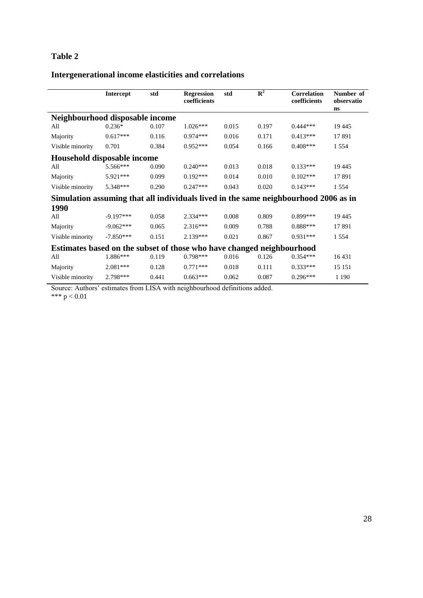### **Table 2**

## **Intergenerational income elasticities and correlations**

|                                                                                     | <b>Intercept</b> | std   | <b>Regression</b><br>coefficients | std   | $\mathbf{R}^2$ | Correlation<br>coefficients | Number of<br>observatio<br>ns |
|-------------------------------------------------------------------------------------|------------------|-------|-----------------------------------|-------|----------------|-----------------------------|-------------------------------|
| Neighbourhood disposable income                                                     |                  |       |                                   |       |                |                             |                               |
| All                                                                                 | $0.236*$         | 0.107 | $1.026***$                        | 0.015 | 0.197          | $0.444***$                  | 19 4 45                       |
| Majority                                                                            | $0.617***$       | 0.116 | $0.974***$                        | 0.016 | 0.171          | $0.413***$                  | 17891                         |
| Visible minority                                                                    | 0.701            | 0.384 | $0.952***$                        | 0.054 | 0.166          | $0.408***$                  | 1 5 5 4                       |
| Household disposable income                                                         |                  |       |                                   |       |                |                             |                               |
| All                                                                                 | 5.566***         | 0.090 | $0.240***$                        | 0.013 | 0.018          | $0.133***$                  | 19 4 45                       |
| Majority                                                                            | 5.921***         | 0.099 | $0.192***$                        | 0.014 | 0.010          | $0.102***$                  | 17891                         |
| Visible minority                                                                    | 5.348***         | 0.290 | $0.247***$                        | 0.043 | 0.020          | $0.143***$                  | 1 5 5 4                       |
| Simulation assuming that all individuals lived in the same neighbourhood 2006 as in |                  |       |                                   |       |                |                             |                               |
| 1990                                                                                |                  |       |                                   |       |                |                             |                               |
| All                                                                                 | $-9.197***$      | 0.058 | $2.334***$                        | 0.008 | 0.809          | $0.899***$                  | 19 4 45                       |
| Majority                                                                            | $-9.062***$      | 0.065 | $2.316***$                        | 0.009 | 0.788          | $0.888***$                  | 17891                         |
| Visible minority                                                                    | $-7.850***$      | 0.151 | $2.139***$                        | 0.021 | 0.867          | $0.931***$                  | 1 5 5 4                       |
| Estimates based on the subset of those who have changed neighbourhood               |                  |       |                                   |       |                |                             |                               |
| All                                                                                 | 1.886***         | 0.119 | $0.798***$                        | 0.016 | 0.126          | $0.354***$                  | 16431                         |
| Majority                                                                            | 2.081***         | 0.128 | $0.771***$                        | 0.018 | 0.111          | $0.333***$                  | 15 15 1                       |
| Visible minority                                                                    | 2.798***         | 0.441 | $0.663***$                        | 0.062 | 0.087          | $0.296***$                  | 1 1 9 0                       |

Source: Authors' estimates from LISA with neighbourhood definitions added. \*\*\*  $p < 0.01$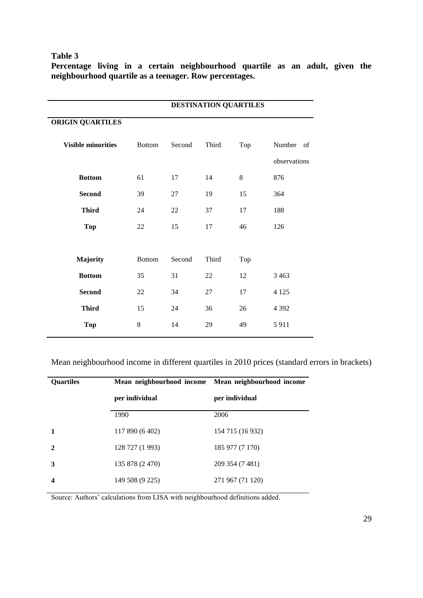#### **Table 3**

**Percentage living in a certain neighbourhood quartile as an adult, given the neighbourhood quartile as a teenager. Row percentages.**

|                           |               |        | DESTINATION QUARTILES |     |              |
|---------------------------|---------------|--------|-----------------------|-----|--------------|
| <b>ORIGIN QUARTILES</b>   |               |        |                       |     |              |
| <b>Visible minorities</b> | <b>Bottom</b> | Second | Third                 | Top | Number of    |
|                           |               |        |                       |     | observations |
| <b>Bottom</b>             | 61            | 17     | 14                    | 8   | 876          |
| <b>Second</b>             | 39            | 27     | 19                    | 15  | 364          |
| <b>Third</b>              | 24            | 22     | 37                    | 17  | 188          |
| <b>Top</b>                | $22\,$        | 15     | 17                    | 46  | 126          |
|                           |               |        |                       |     |              |
| Majority                  | <b>Bottom</b> | Second | Third                 | Top |              |
| <b>Bottom</b>             | 35            | 31     | 22                    | 12  | 3 4 6 3      |
| <b>Second</b>             | $22\,$        | 34     | 27                    | 17  | 4 1 2 5      |
| <b>Third</b>              | 15            | 24     | 36                    | 26  | 4 3 9 2      |
| <b>Top</b>                | 8             | 14     | 29                    | 49  | 5911         |

Mean neighbourhood income in different quartiles in 2010 prices (standard errors in brackets)

| <b>Ouartiles</b> |                 | Mean neighbourhood income Mean neighbourhood income |  |  |
|------------------|-----------------|-----------------------------------------------------|--|--|
|                  | per individual  | per individual                                      |  |  |
|                  | 1990            | 2006                                                |  |  |
|                  | 117 890 (6 402) | 154 715 (16 932)                                    |  |  |
| 2                | 128 727 (1 993) | 185 977 (7 170)                                     |  |  |
| 3                | 135 878 (2.470) | 209 354 (7 481)                                     |  |  |
|                  | 149 508 (9 225) | 271 967 (71 120)                                    |  |  |

Source: Authors' calculations from LISA with neighbourhood definitions added.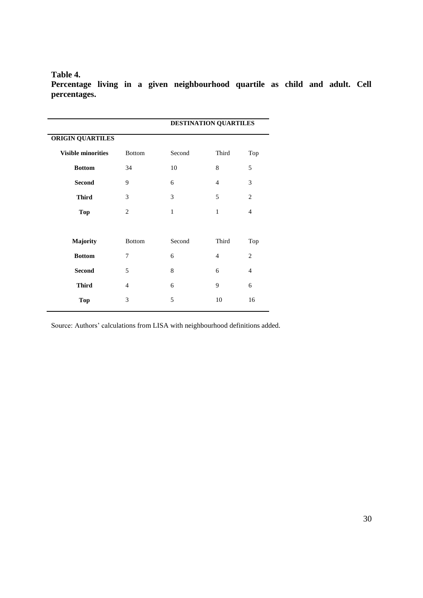#### **Table 4.**

**Percentage living in a given neighbourhood quartile as child and adult. Cell percentages.**

|                           |                | <b>DESTINATION QUARTILES</b> |                |                |
|---------------------------|----------------|------------------------------|----------------|----------------|
| <b>ORIGIN QUARTILES</b>   |                |                              |                |                |
| <b>Visible minorities</b> | <b>Bottom</b>  | Second                       | Third          | Top            |
| <b>Bottom</b>             | 34             | 10                           | 8              | 5              |
| <b>Second</b>             | 9              | 6                            | $\overline{4}$ | 3              |
| <b>Third</b>              | 3              | 3                            | 5              | 2              |
| <b>Top</b>                | $\overline{2}$ | 1                            | 1              | $\overline{4}$ |
|                           |                |                              |                |                |
| Majority                  | <b>Bottom</b>  | Second                       | Third          | Top            |
| <b>Bottom</b>             | 7              | 6                            | $\overline{4}$ | $\overline{c}$ |
| <b>Second</b>             | 5              | 8                            | 6              | 4              |
| <b>Third</b>              | 4              | 6                            | 9              | 6              |
| <b>Top</b>                | 3              | 5                            | 10             | 16             |
|                           |                |                              |                |                |

Source: Authors' calculations from LISA with neighbourhood definitions added.